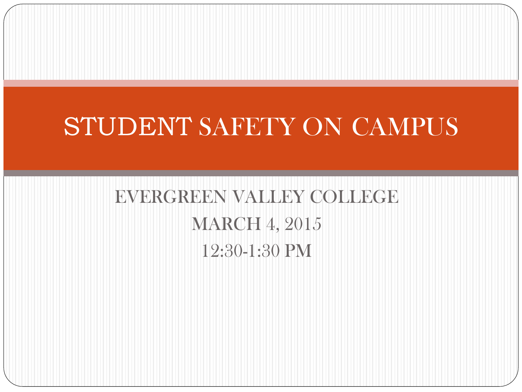#### STUDENT SAFETY ON CAMPUS

#### EWERGREEN VALLEY COLLEGE MARCH 4, 2015 12:30-1:30 PM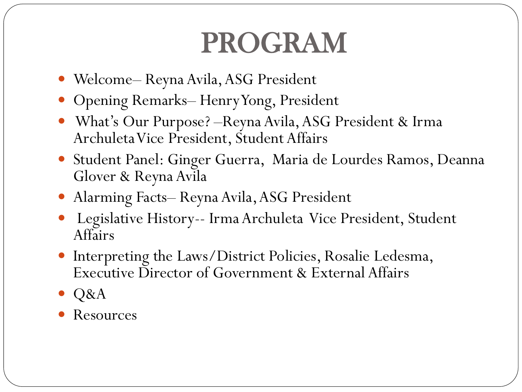# PROGRAM

- Welcome– Reyna Avila, ASG President
- Opening Remarks– Henry Yong, President
- What's Our Purpose? –Reyna Avila, ASG President & Irma Archuleta Vice President, Student Affairs
- Student Panel: Ginger Guerra, Maria de Lourdes Ramos, Deanna Glover & Reyna Avila
- Alarming Facts– Reyna Avila, ASG President
- Legislative History-- Irma Archuleta Vice President, Student Affairs
- Interpreting the Laws/District Policies, Rosalie Ledesma, Executive Director of Government & External Affairs
- $\bullet$  Q&A
- Resources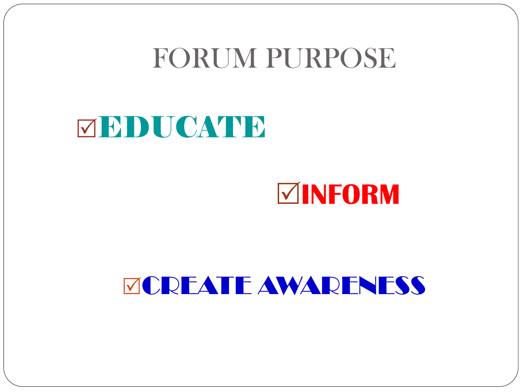#### FORUM PURPOSE

#### **EDUCATE**

## **INFORM**

#### CREATE AWARENESS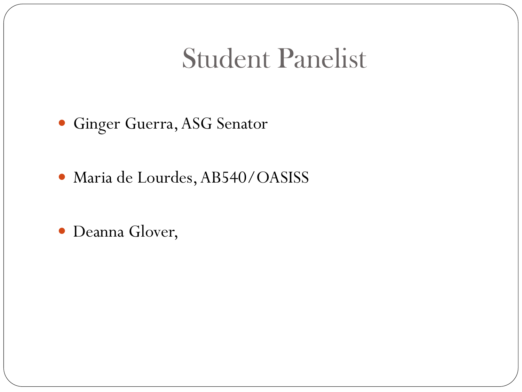#### Student Panelist

- Ginger Guerra, ASG Senator
- Maria de Lourdes, AB540/OASISS
- Deanna Glover,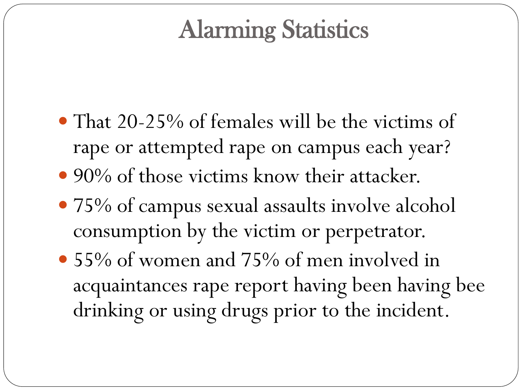#### Alarming Statistics

- That 20-25% of females will be the victims of rape or attempted rape on campus each year?
- 90% of those victims know their attacker.
- 75% of campus sexual assaults involve alcohol consumption by the victim or perpetrator.
- 55% of women and 75% of men involved in acquaintances rape report having been having bee drinking or using drugs prior to the incident.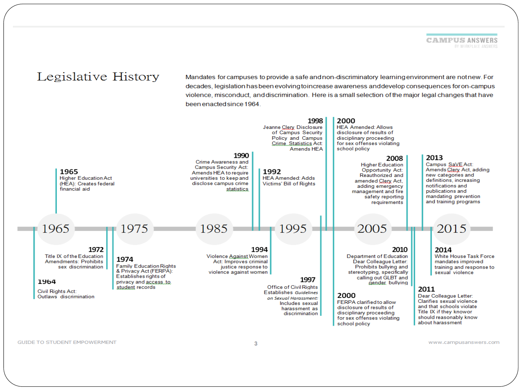**CAMPUS ANSWERS** BY WORKPLACE ANSWERS

#### Legislative History

Mandates for campuses to provide a safe and non-discriminatory learning environment are not new. For decades, legislation has been evolving to increase awareness and develop consequences for on-campus violence, misconduct, and discrimination. Here is a small selection of the major legal changes that have been enacted since 1964.



www.campusanswers.com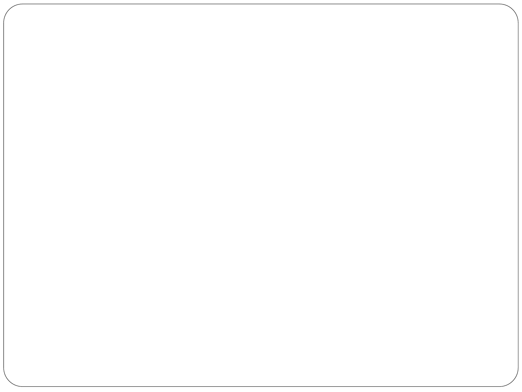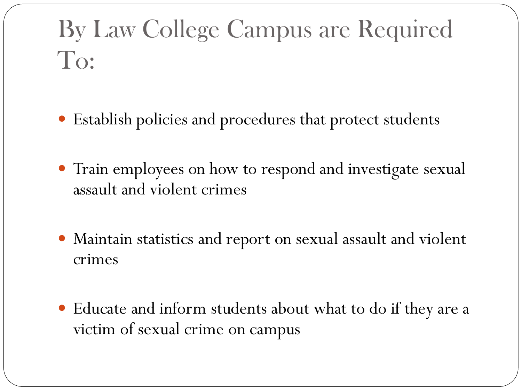## By Law College Campus are Required To:

- Establish policies and procedures that protect students
- Train employees on how to respond and investigate sexual assault and violent crimes
- Maintain statistics and report on sexual assault and violent crimes
- Educate and inform students about what to do if they are a victim of sexual crime on campus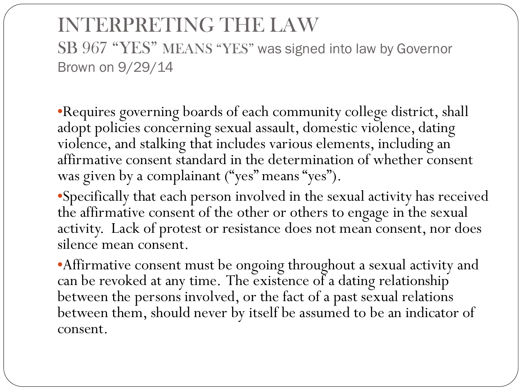#### INTERPRETING THE LAW

SB 967 "YES" MEANS "YES" was signed into law by Governor Brown on 9/29/14

•Requires governing boards of each community college district, shall adopt policies concerning sexual assault, domestic violence, dating violence, and stalking that includes various elements, including an affirmative consent standard in the determination of whether consent was given by a complainant ("yes" means "yes").

•Specifically that each person involved in the sexual activity has received the affirmative consent of the other or others to engage in the sexual activity. Lack of protest or resistance does not mean consent, nor does silence mean consent.

•Affirmative consent must be ongoing throughout a sexual activity and can be revoked at any time. The existence of a dating relationship between the persons involved, or the fact of a past sexual relations between them, should never by itself be assumed to be an indicator of consent.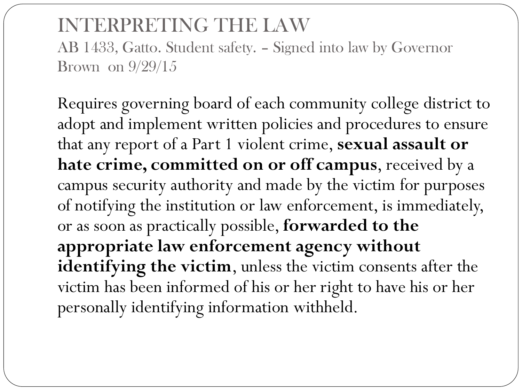#### INTERPRETING THE LAW

I

AB 1433, Gatto. Student safety. – Signed into law by Governor Brown on 9/29/15

Requires governing board of each community college district to adopt and implement written policies and procedures to ensure that any report of a Part 1 violent crime, **sexual assault or hate crime, committed on or off campus**, received by a campus security authority and made by the victim for purposes of notifying the institution or law enforcement, is immediately, or as soon as practically possible, **forwarded to the appropriate law enforcement agency without identifying the victim**, unless the victim consents after the victim has been informed of his or her right to have his or her personally identifying information withheld.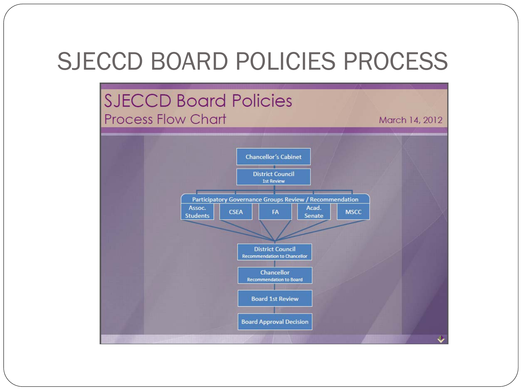#### SJECCD BOARD POLICIES PROCESS

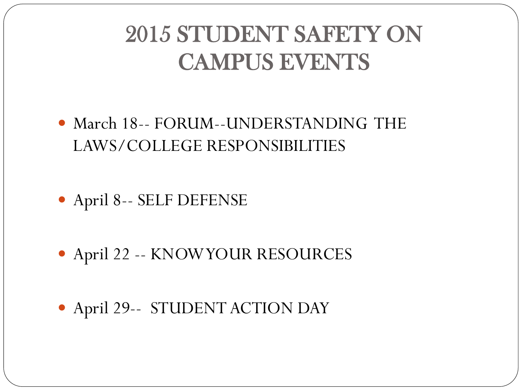#### 2015 STUDENT SAFETY ON CAMPUS EVENTS

- March 18-- FORUM--UNDERSTANDING THE LAWS/COLLEGE RESPONSIBILITIES
- April 8-- SELF DEFENSE
- April 22 -- KNOW YOUR RESOURCES
- April 29-- STUDENT ACTION DAY